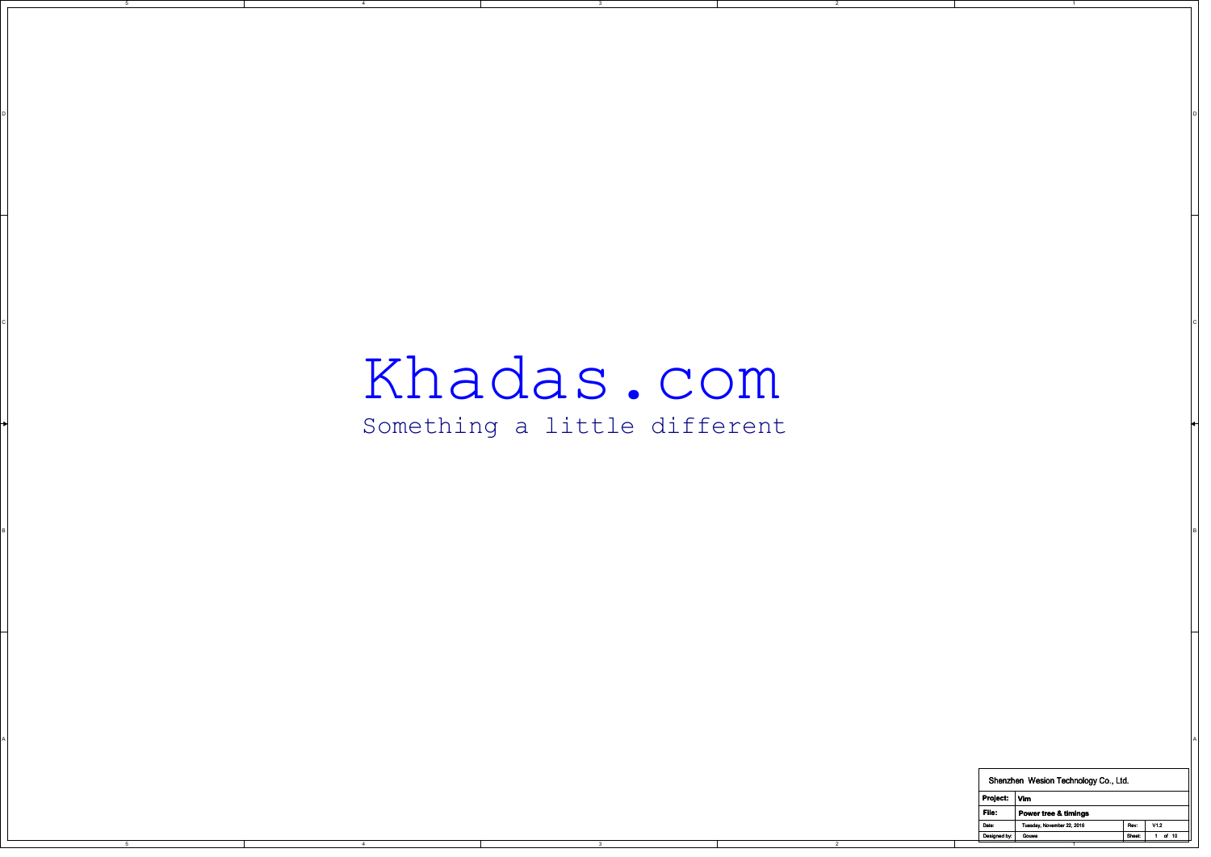## Khadas.com

CIAL CONSTITUTION CONTINUES INTO A CONSTITUTION OF CONSTITUTION CONTINUES IN A CONSTITUTION OF CONSTITUTION CONTINUES INTO A CONSTITUTION OF CONSTITUTION OF CONSTITUTION OF CONSTITUTION OF CONSTITUTION OF CONSTITUTION OF C

B BLOCK IS A REPORT OF THE RESIDENCE OF THE RESIDENCE OF THE RESIDENCE OF THE RESIDENCE OF THE RESIDENCE OF TH

3

on a construction of the construction of the construction of the construction of the construction of the construction of the construction of the construction of the construction of the construction of the construction of t

## Something a little different

3

A POSTAGE A POSTAGE A POSTAGE A POSTAGE A POSTAGE A POSTAGE A POSTAGE A POSTAGE A POSTAGE A POSTAGE A POSTAGE A

2

5

4

| Shenzhen Wesion Technology Co., Ltd. |                            |        |                 |  |  |
|--------------------------------------|----------------------------|--------|-----------------|--|--|
| Project:                             | Vim                        |        |                 |  |  |
| File:                                | Power tree & timings       |        |                 |  |  |
| Date:                                | Tuesday, November 22, 2016 | Rev    | V1 <sub>2</sub> |  |  |
| Designed by:                         | Gouwa                      | Sheet: | $10^{-1}$<br>пf |  |  |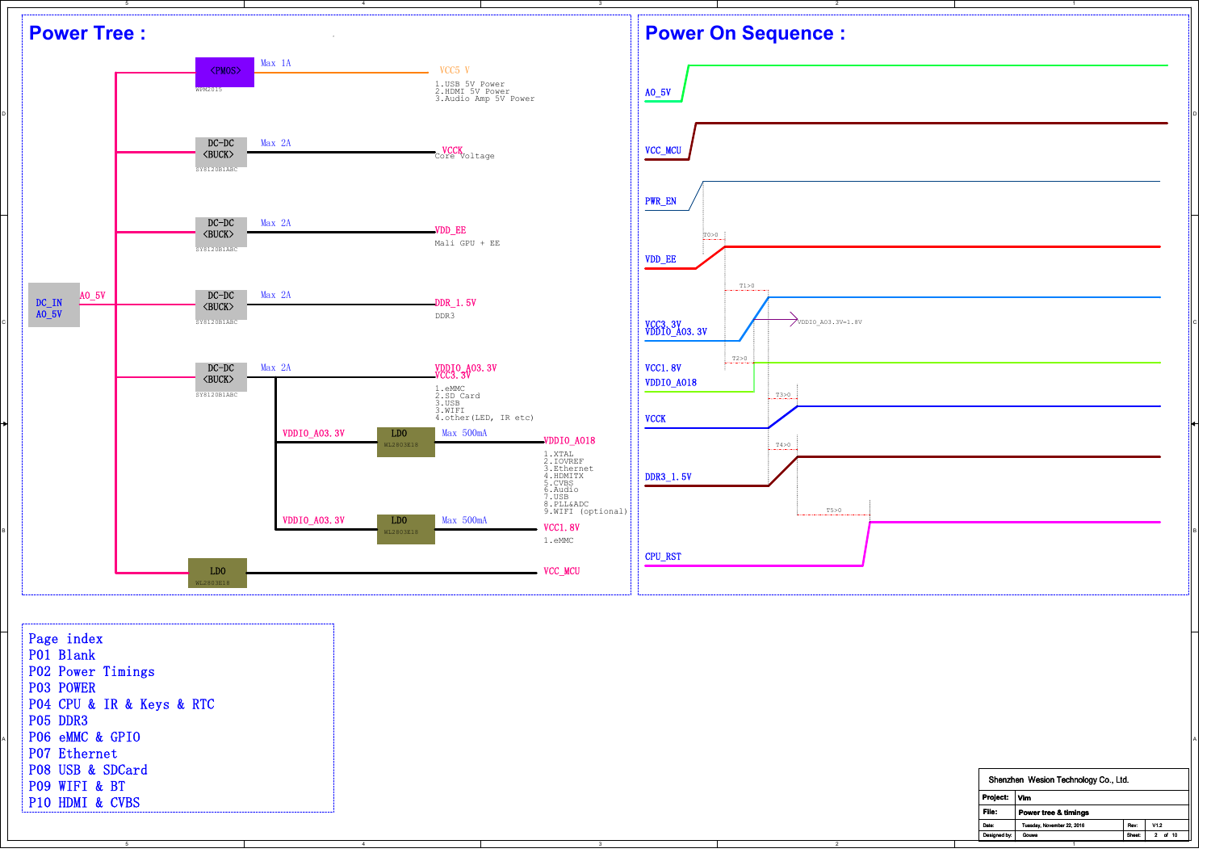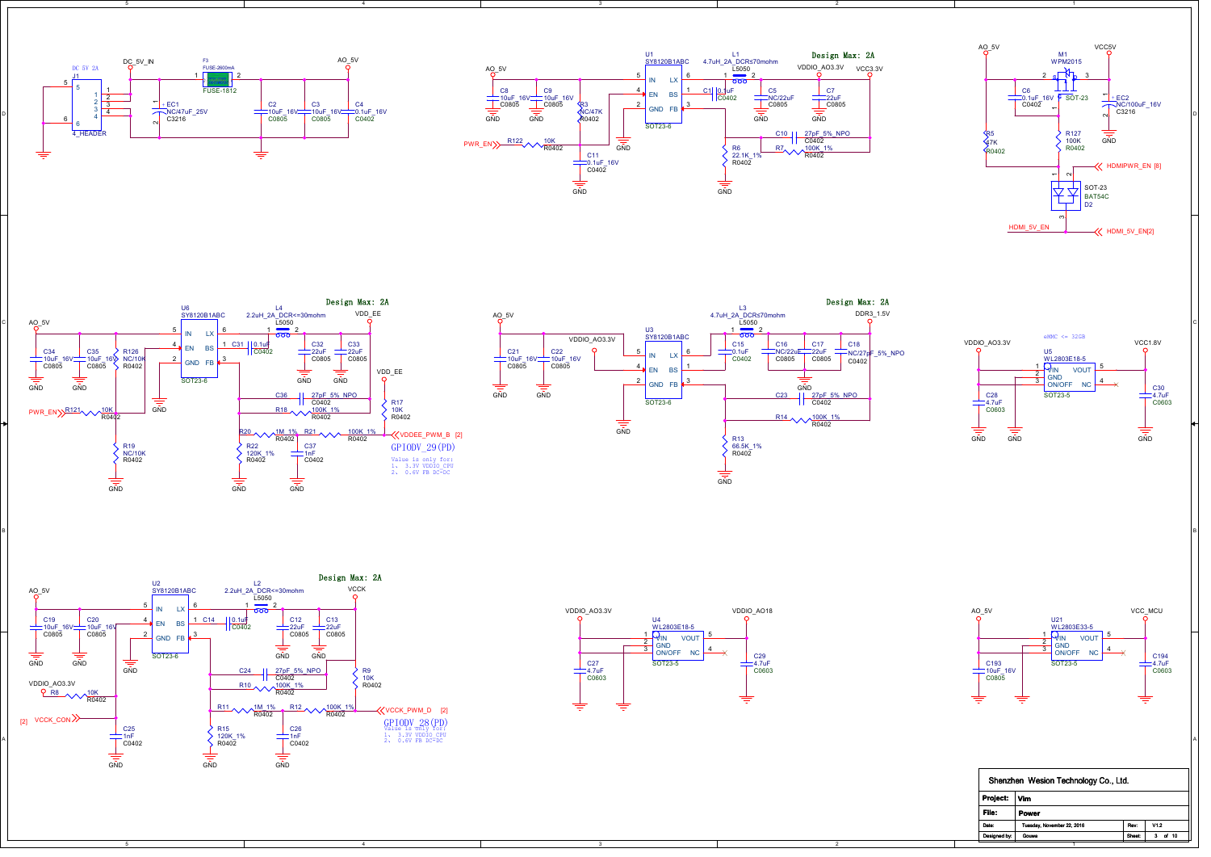



3











4

5



2

3

B BLOCK IS A REPORT OF THE RESIDENCE OF THE RESIDENCE OF THE RESIDENCE OF THE RESIDENCE OF THE RESIDENCE OF TH



| Shenzhen Wesion Technology Co., Ltd. |                            |        |            |  |  |
|--------------------------------------|----------------------------|--------|------------|--|--|
| Project:                             | Vim                        |        |            |  |  |
| File:                                | Power                      |        |            |  |  |
| Date:                                | Tuesday, November 22, 2016 | Rev    | V12        |  |  |
| Designed by:                         | Gouwa                      | Sheet: | of 10<br>з |  |  |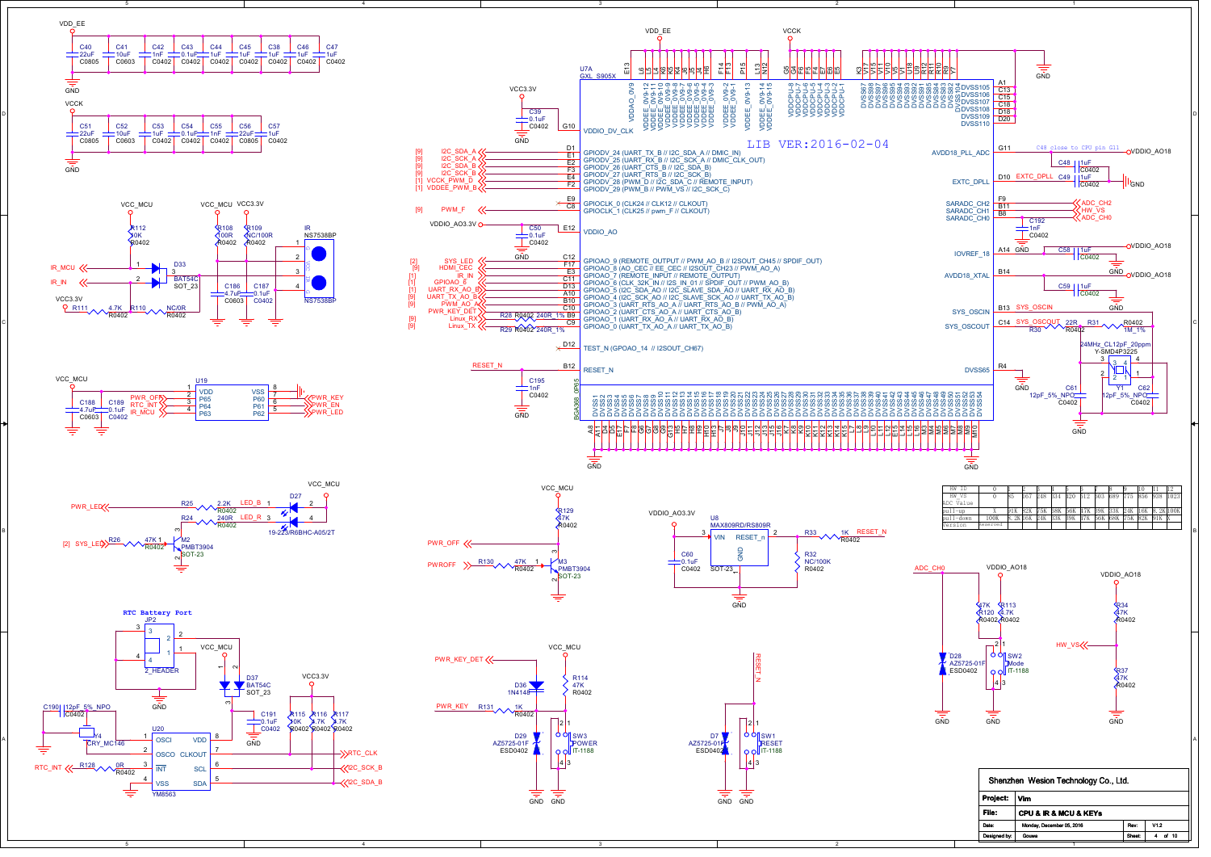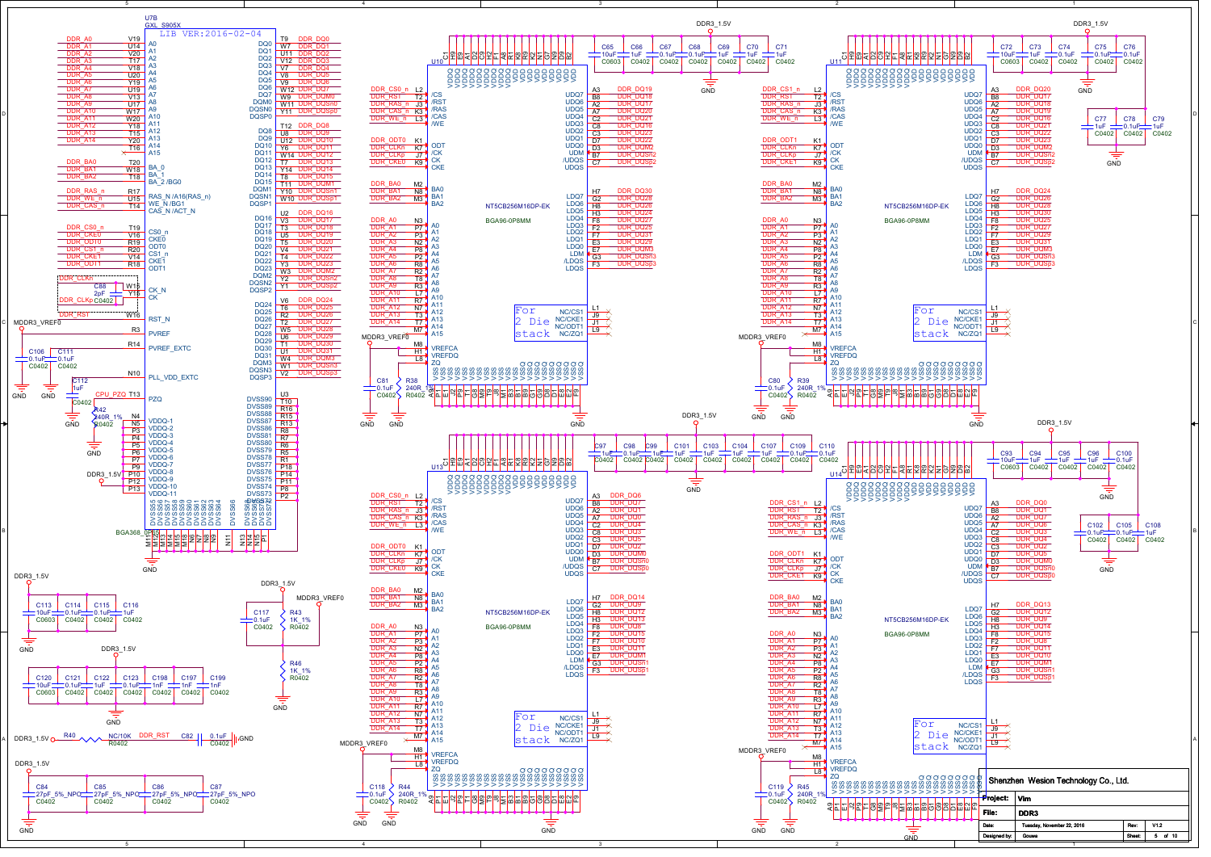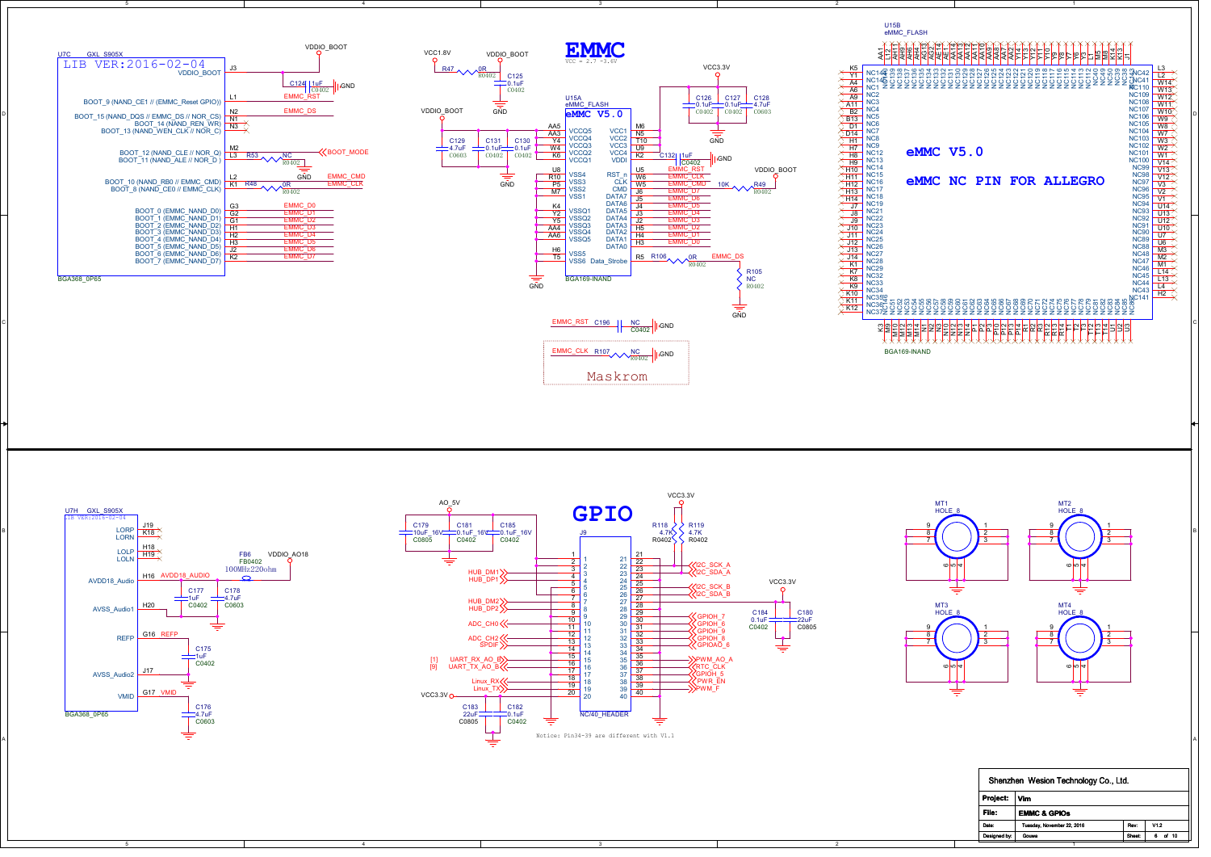



4

5



3



| Shenzhen Wesion Technology Co., Ltd. |                            |        |                 |  |  |
|--------------------------------------|----------------------------|--------|-----------------|--|--|
| Project:                             | Vim                        |        |                 |  |  |
| File:                                | <b>EMMC &amp; GPIOS</b>    |        |                 |  |  |
| Date:                                | Tuesday, November 22, 2016 | Rev    | V1 <sub>2</sub> |  |  |
| Designed by:                         | Gouwa                      | Sheet: | of 10           |  |  |
|                                      |                            |        |                 |  |  |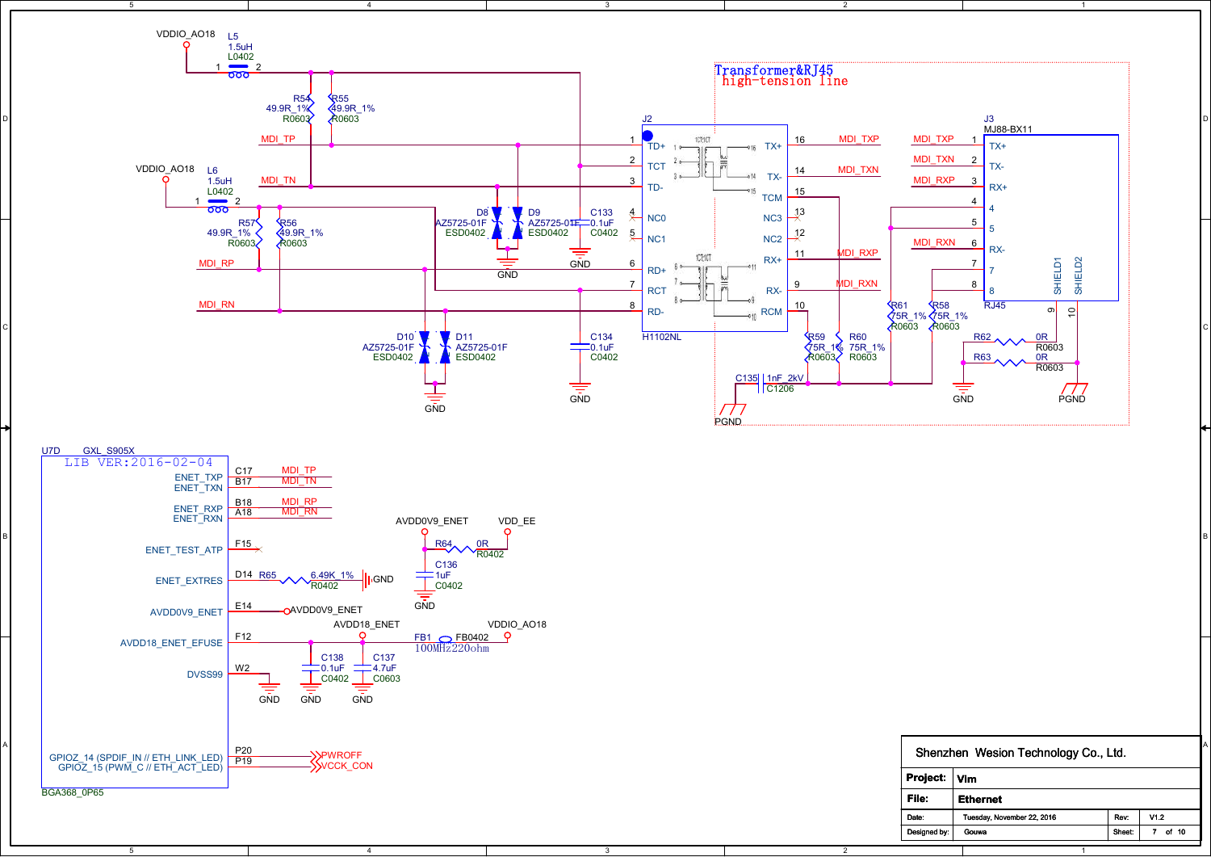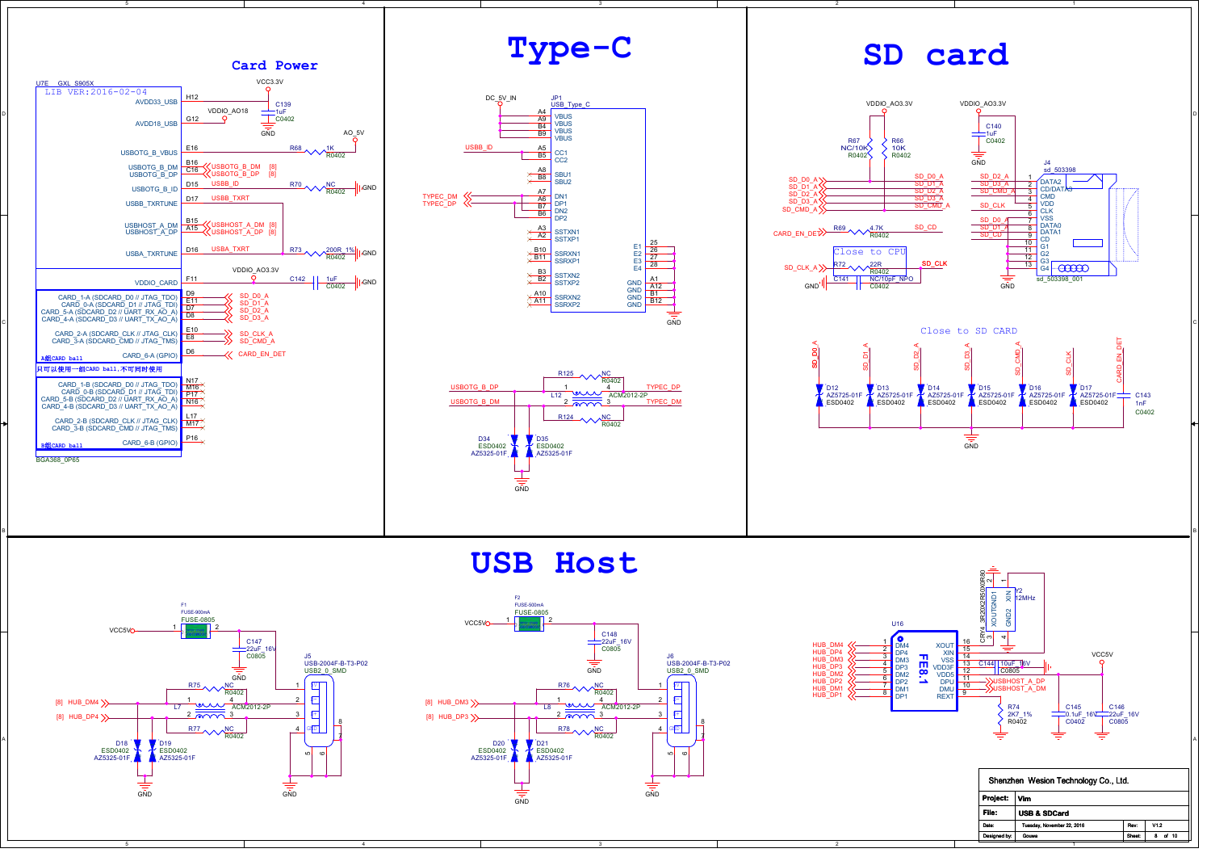

**USB Host**



4

5



3



Date:

Designed by:

1

Gouwa Sheet: 8 of 10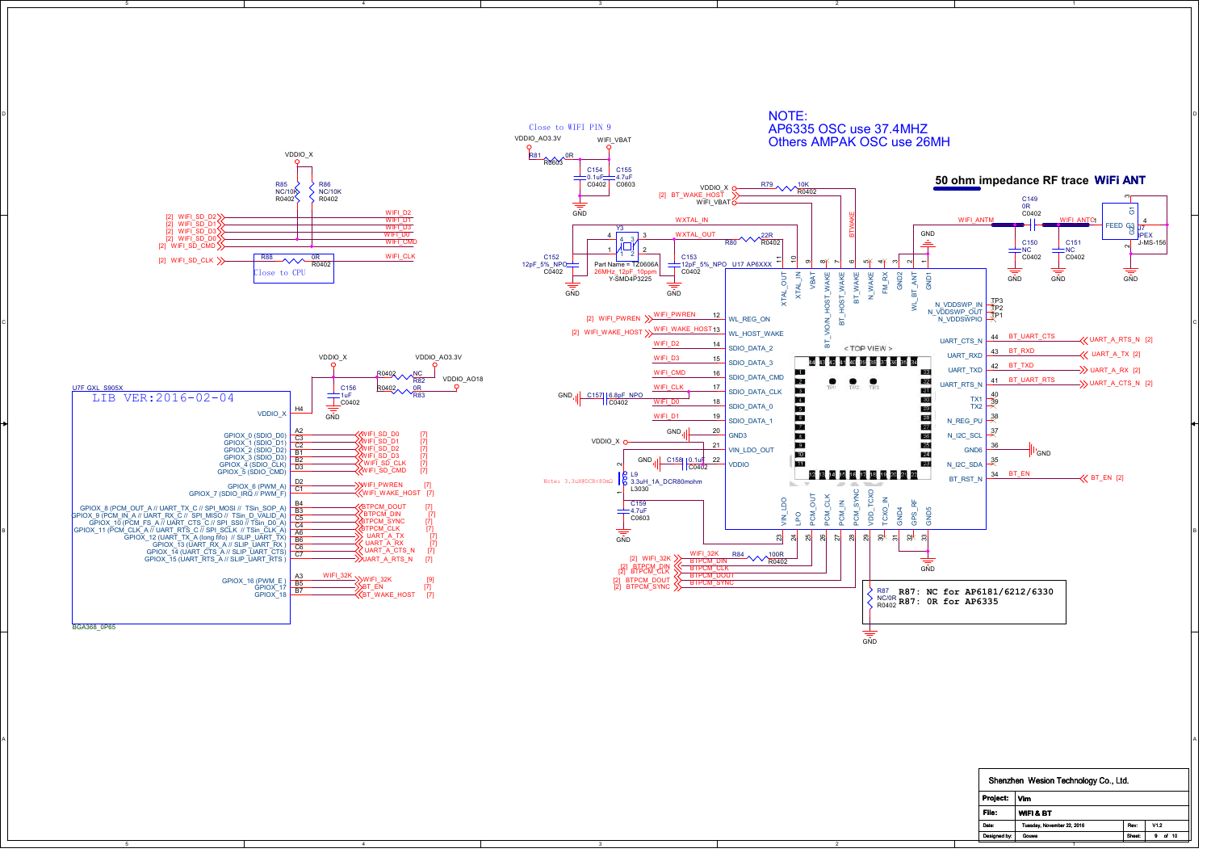